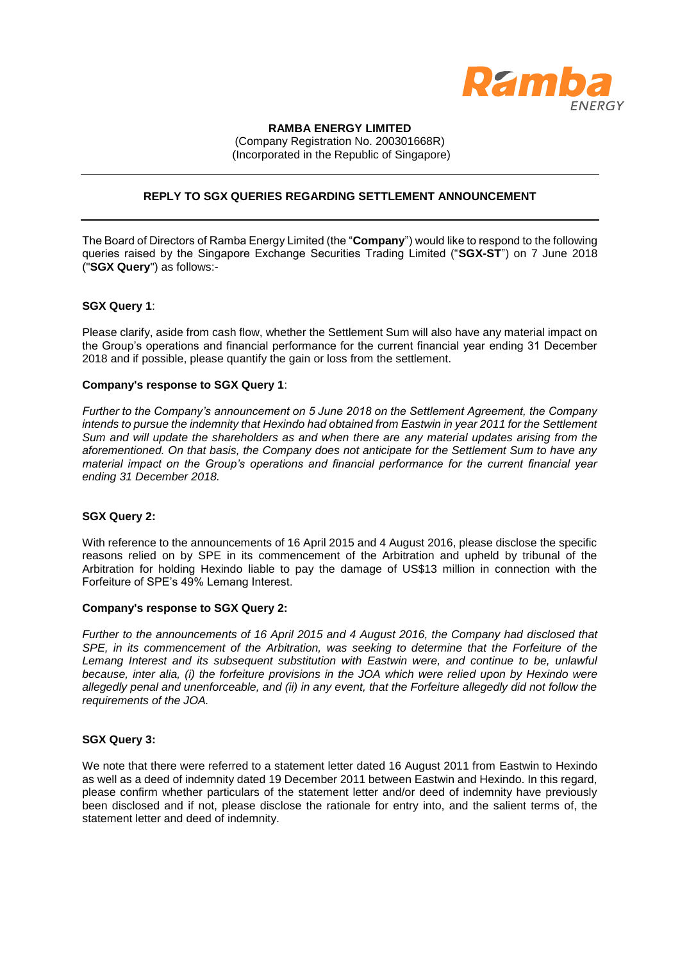

## **RAMBA ENERGY LIMITED**

(Company Registration No. 200301668R) (Incorporated in the Republic of Singapore)

# **REPLY TO SGX QUERIES REGARDING SETTLEMENT ANNOUNCEMENT**

The Board of Directors of Ramba Energy Limited (the "**Company**") would like to respond to the following queries raised by the Singapore Exchange Securities Trading Limited ("**SGX-ST**") on 7 June 2018 ("**SGX Query**") as follows:-

### **SGX Query 1**:

Please clarify, aside from cash flow, whether the Settlement Sum will also have any material impact on the Group's operations and financial performance for the current financial year ending 31 December 2018 and if possible, please quantify the gain or loss from the settlement.

### **Company's response to SGX Query 1**:

*Further to the Company's announcement on 5 June 2018 on the Settlement Agreement, the Company*  intends to pursue the indemnity that Hexindo had obtained from Eastwin in year 2011 for the Settlement *Sum and will update the shareholders as and when there are any material updates arising from the aforementioned. On that basis, the Company does not anticipate for the Settlement Sum to have any material impact on the Group's operations and financial performance for the current financial year ending 31 December 2018.* 

#### **SGX Query 2:**

With reference to the announcements of 16 April 2015 and 4 August 2016, please disclose the specific reasons relied on by SPE in its commencement of the Arbitration and upheld by tribunal of the Arbitration for holding Hexindo liable to pay the damage of US\$13 million in connection with the Forfeiture of SPE's 49% Lemang Interest.

#### **Company's response to SGX Query 2:**

*Further to the announcements of 16 April 2015 and 4 August 2016, the Company had disclosed that SPE, in its commencement of the Arbitration, was seeking to determine that the Forfeiture of the*  Lemang Interest and its subsequent substitution with Eastwin were, and continue to be, unlawful *because, inter alia, (i) the forfeiture provisions in the JOA which were relied upon by Hexindo were allegedly penal and unenforceable, and (ii) in any event, that the Forfeiture allegedly did not follow the requirements of the JOA.*

## **SGX Query 3:**

We note that there were referred to a statement letter dated 16 August 2011 from Eastwin to Hexindo as well as a deed of indemnity dated 19 December 2011 between Eastwin and Hexindo. In this regard, please confirm whether particulars of the statement letter and/or deed of indemnity have previously been disclosed and if not, please disclose the rationale for entry into, and the salient terms of, the statement letter and deed of indemnity.